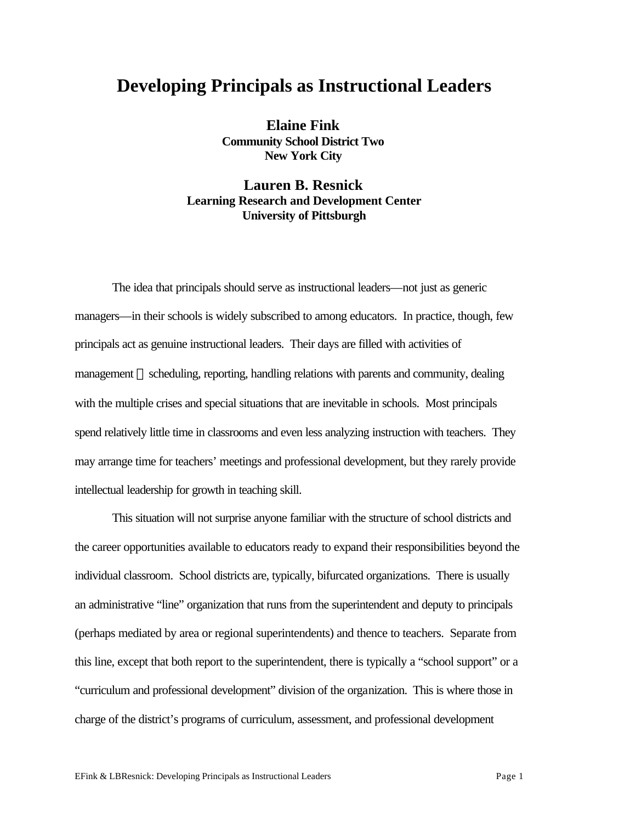# **Developing Principals as Instructional Leaders**

**Elaine Fink Community School District Two New York City**

**Lauren B. Resnick Learning Research and Development Center University of Pittsburgh**

The idea that principals should serve as instructional leaders—not just as generic managers—in their schools is widely subscribed to among educators. In practice, though, few principals act as genuine instructional leaders. Their days are filled with activities of management — scheduling, reporting, handling relations with parents and community, dealing with the multiple crises and special situations that are inevitable in schools. Most principals spend relatively little time in classrooms and even less analyzing instruction with teachers. They may arrange time for teachers' meetings and professional development, but they rarely provide intellectual leadership for growth in teaching skill.

This situation will not surprise anyone familiar with the structure of school districts and the career opportunities available to educators ready to expand their responsibilities beyond the individual classroom. School districts are, typically, bifurcated organizations. There is usually an administrative "line" organization that runs from the superintendent and deputy to principals (perhaps mediated by area or regional superintendents) and thence to teachers. Separate from this line, except that both report to the superintendent, there is typically a "school support" or a "curriculum and professional development" division of the organization. This is where those in charge of the district's programs of curriculum, assessment, and professional development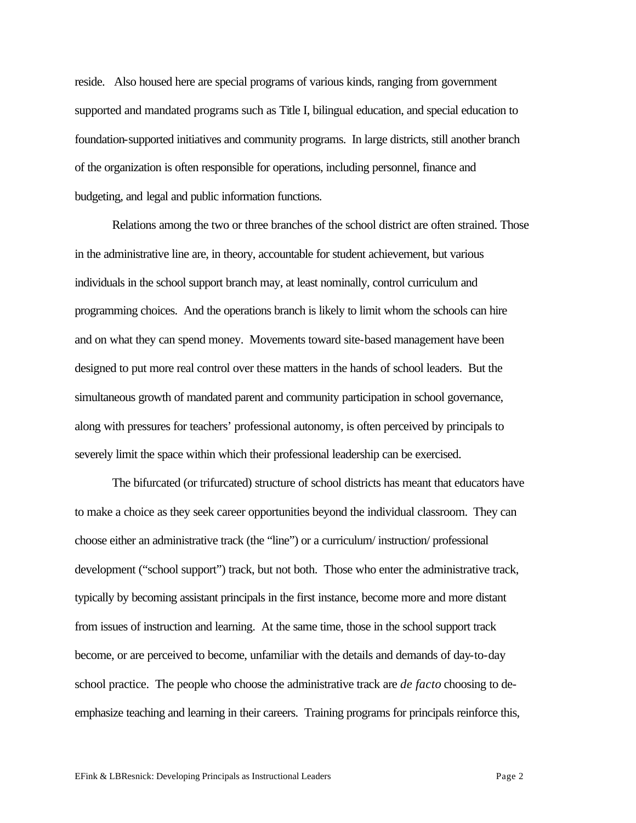reside. Also housed here are special programs of various kinds, ranging from government supported and mandated programs such as Title I, bilingual education, and special education to foundation-supported initiatives and community programs. In large districts, still another branch of the organization is often responsible for operations, including personnel, finance and budgeting, and legal and public information functions.

Relations among the two or three branches of the school district are often strained. Those in the administrative line are, in theory, accountable for student achievement, but various individuals in the school support branch may, at least nominally, control curriculum and programming choices. And the operations branch is likely to limit whom the schools can hire and on what they can spend money. Movements toward site-based management have been designed to put more real control over these matters in the hands of school leaders. But the simultaneous growth of mandated parent and community participation in school governance, along with pressures for teachers' professional autonomy, is often perceived by principals to severely limit the space within which their professional leadership can be exercised.

The bifurcated (or trifurcated) structure of school districts has meant that educators have to make a choice as they seek career opportunities beyond the individual classroom. They can choose either an administrative track (the "line") or a curriculum/ instruction/ professional development ("school support") track, but not both. Those who enter the administrative track, typically by becoming assistant principals in the first instance, become more and more distant from issues of instruction and learning. At the same time, those in the school support track become, or are perceived to become, unfamiliar with the details and demands of day-to-day school practice. The people who choose the administrative track are *de facto* choosing to deemphasize teaching and learning in their careers. Training programs for principals reinforce this,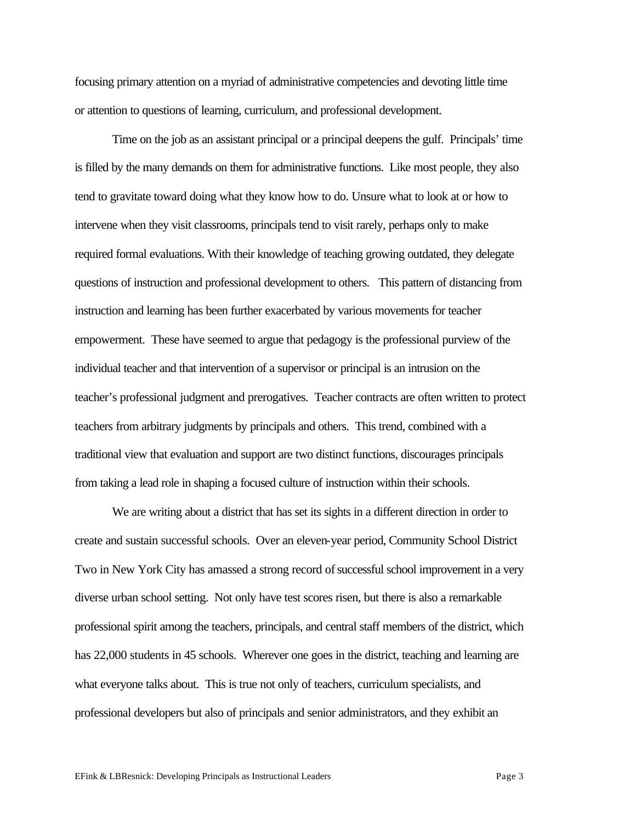focusing primary attention on a myriad of administrative competencies and devoting little time or attention to questions of learning, curriculum, and professional development.

Time on the job as an assistant principal or a principal deepens the gulf. Principals' time is filled by the many demands on them for administrative functions. Like most people, they also tend to gravitate toward doing what they know how to do. Unsure what to look at or how to intervene when they visit classrooms, principals tend to visit rarely, perhaps only to make required formal evaluations. With their knowledge of teaching growing outdated, they delegate questions of instruction and professional development to others. This pattern of distancing from instruction and learning has been further exacerbated by various movements for teacher empowerment. These have seemed to argue that pedagogy is the professional purview of the individual teacher and that intervention of a supervisor or principal is an intrusion on the teacher's professional judgment and prerogatives. Teacher contracts are often written to protect teachers from arbitrary judgments by principals and others. This trend, combined with a traditional view that evaluation and support are two distinct functions, discourages principals from taking a lead role in shaping a focused culture of instruction within their schools.

We are writing about a district that has set its sights in a different direction in order to create and sustain successful schools. Over an eleven-year period, Community School District Two in New York City has amassed a strong record of successful school improvement in a very diverse urban school setting. Not only have test scores risen, but there is also a remarkable professional spirit among the teachers, principals, and central staff members of the district, which has 22,000 students in 45 schools. Wherever one goes in the district, teaching and learning are what everyone talks about. This is true not only of teachers, curriculum specialists, and professional developers but also of principals and senior administrators, and they exhibit an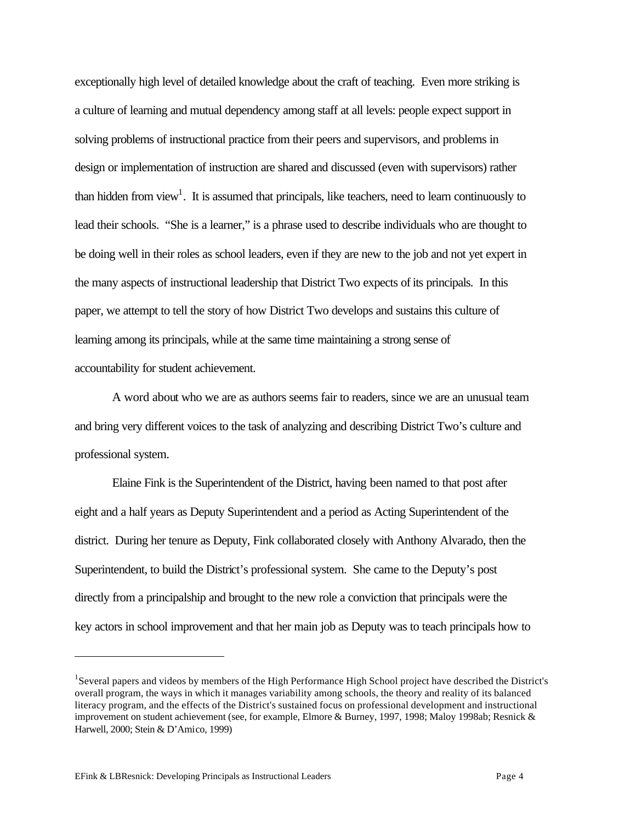exceptionally high level of detailed knowledge about the craft of teaching. Even more striking is a culture of learning and mutual dependency among staff at all levels: people expect support in solving problems of instructional practice from their peers and supervisors, and problems in design or implementation of instruction are shared and discussed (even with supervisors) rather than hidden from view<sup>1</sup>. It is assumed that principals, like teachers, need to learn continuously to lead their schools. "She is a learner," is a phrase used to describe individuals who are thought to be doing well in their roles as school leaders, even if they are new to the job and not yet expert in the many aspects of instructional leadership that District Two expects of its principals. In this paper, we attempt to tell the story of how District Two develops and sustains this culture of learning among its principals, while at the same time maintaining a strong sense of accountability for student achievement.

A word about who we are as authors seems fair to readers, since we are an unusual team and bring very different voices to the task of analyzing and describing District Two's culture and professional system.

Elaine Fink is the Superintendent of the District, having been named to that post after eight and a half years as Deputy Superintendent and a period as Acting Superintendent of the district. During her tenure as Deputy, Fink collaborated closely with Anthony Alvarado, then the Superintendent, to build the District's professional system. She came to the Deputy's post directly from a principalship and brought to the new role a conviction that principals were the key actors in school improvement and that her main job as Deputy was to teach principals how to

 $\overline{a}$ 

<sup>&</sup>lt;sup>1</sup>Several papers and videos by members of the High Performance High School project have described the District's overall program, the ways in which it manages variability among schools, the theory and reality of its balanced literacy program, and the effects of the District's sustained focus on professional development and instructional improvement on student achievement (see, for example, Elmore & Burney, 1997, 1998; Maloy 1998ab; Resnick & Harwell, 2000; Stein & D'Amico, 1999)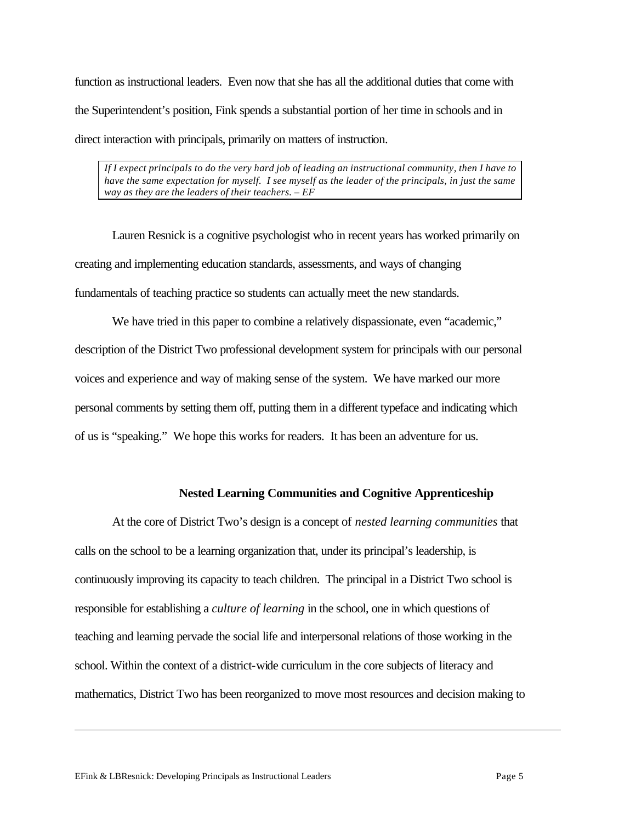function as instructional leaders. Even now that she has all the additional duties that come with the Superintendent's position, Fink spends a substantial portion of her time in schools and in direct interaction with principals, primarily on matters of instruction.

*If I expect principals to do the very hard job of leading an instructional community, then I have to have the same expectation for myself. I see myself as the leader of the principals, in just the same way as they are the leaders of their teachers. – EF* 

Lauren Resnick is a cognitive psychologist who in recent years has worked primarily on creating and implementing education standards, assessments, and ways of changing fundamentals of teaching practice so students can actually meet the new standards.

We have tried in this paper to combine a relatively dispassionate, even "academic," description of the District Two professional development system for principals with our personal voices and experience and way of making sense of the system. We have marked our more personal comments by setting them off, putting them in a different typeface and indicating which of us is "speaking." We hope this works for readers. It has been an adventure for us.

## **Nested Learning Communities and Cognitive Apprenticeship**

At the core of District Two's design is a concept of *nested learning communities* that calls on the school to be a learning organization that, under its principal's leadership, is continuously improving its capacity to teach children. The principal in a District Two school is responsible for establishing a *culture of learning* in the school, one in which questions of teaching and learning pervade the social life and interpersonal relations of those working in the school. Within the context of a district-wide curriculum in the core subjects of literacy and mathematics, District Two has been reorganized to move most resources and decision making to

 $\overline{a}$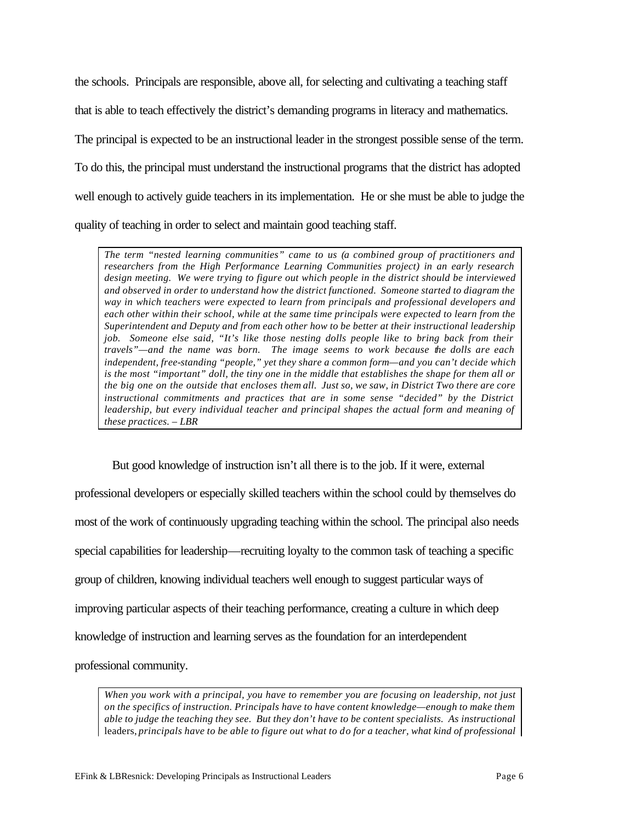the schools. Principals are responsible, above all, for selecting and cultivating a teaching staff that is able to teach effectively the district's demanding programs in literacy and mathematics. The principal is expected to be an instructional leader in the strongest possible sense of the term. To do this, the principal must understand the instructional programs that the district has adopted well enough to actively guide teachers in its implementation. He or she must be able to judge the quality of teaching in order to select and maintain good teaching staff.

*The term "nested learning communities" came to us (a combined group of practitioners and researchers from the High Performance Learning Communities project) in an early research design meeting. We were trying to figure out which people in the district should be interviewed and observed in order to understand how the district functioned. Someone started to diagram the way in which teachers were expected to learn from principals and professional developers and each other within their school, while at the same time principals were expected to learn from the Superintendent and Deputy and from each other how to be better at their instructional leadership job.* Someone else said, "It's like those nesting dolls people like to bring back from their *travels"—and the name was born. The image seems to work because the dolls are each independent, free-standing "people," yet they share a common form—and you can't decide which is the most "important" doll, the tiny one in the middle that establishes the shape for them all or the big one on the outside that encloses them all. Just so, we saw, in District Two there are core instructional commitments and practices that are in some sense "decided" by the District leadership, but every individual teacher and principal shapes the actual form and meaning of these practices. – LBR* 

But good knowledge of instruction isn't all there is to the job. If it were, external professional developers or especially skilled teachers within the school could by themselves do most of the work of continuously upgrading teaching within the school. The principal also needs special capabilities for leadership—recruiting loyalty to the common task of teaching a specific group of children, knowing individual teachers well enough to suggest particular ways of improving particular aspects of their teaching performance, creating a culture in which deep knowledge of instruction and learning serves as the foundation for an interdependent

professional community.

*When you work with a principal, you have to remember you are focusing on leadership, not just on the specifics of instruction. Principals have to have content knowledge—enough to make them able to judge the teaching they see. But they don't have to be content specialists. As instructional*  leaders, *principals have to be able to figure out what to do for a teacher, what kind of professional*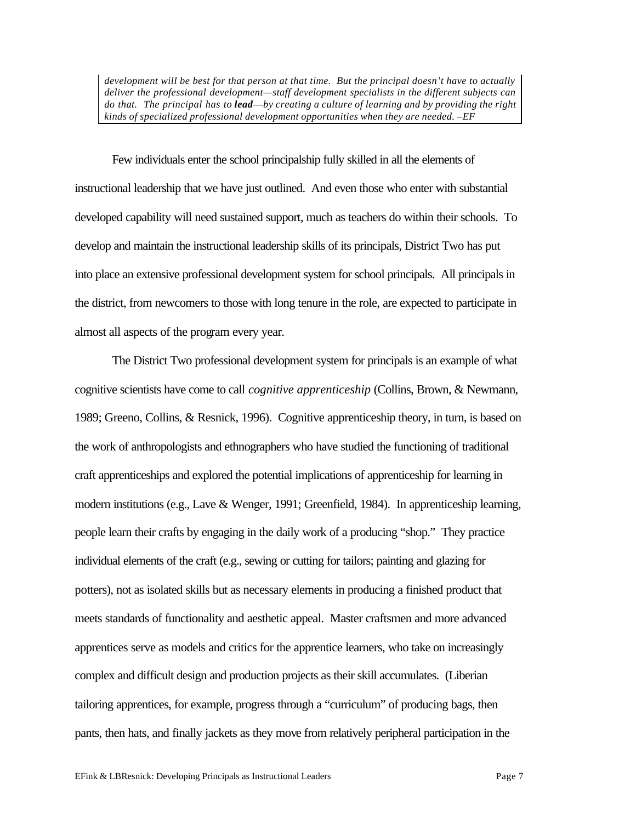*development will be best for that person at that time. But the principal doesn't have to actually deliver the professional development—staff development specialists in the different subjects can do that. The principal has to lead*—*by creating a culture of learning and by providing the right kinds of specialized professional development opportunities when they are needed. –EF* 

Few individuals enter the school principalship fully skilled in all the elements of instructional leadership that we have just outlined. And even those who enter with substantial developed capability will need sustained support, much as teachers do within their schools. To develop and maintain the instructional leadership skills of its principals, District Two has put into place an extensive professional development system for school principals. All principals in the district, from newcomers to those with long tenure in the role, are expected to participate in almost all aspects of the program every year.

The District Two professional development system for principals is an example of what cognitive scientists have come to call *cognitive apprenticeship* (Collins, Brown, & Newmann, 1989; Greeno, Collins, & Resnick, 1996). Cognitive apprenticeship theory, in turn, is based on the work of anthropologists and ethnographers who have studied the functioning of traditional craft apprenticeships and explored the potential implications of apprenticeship for learning in modern institutions (e.g., Lave & Wenger, 1991; Greenfield, 1984). In apprenticeship learning, people learn their crafts by engaging in the daily work of a producing "shop." They practice individual elements of the craft (e.g., sewing or cutting for tailors; painting and glazing for potters), not as isolated skills but as necessary elements in producing a finished product that meets standards of functionality and aesthetic appeal. Master craftsmen and more advanced apprentices serve as models and critics for the apprentice learners, who take on increasingly complex and difficult design and production projects as their skill accumulates. (Liberian tailoring apprentices, for example, progress through a "curriculum" of producing bags, then pants, then hats, and finally jackets as they move from relatively peripheral participation in the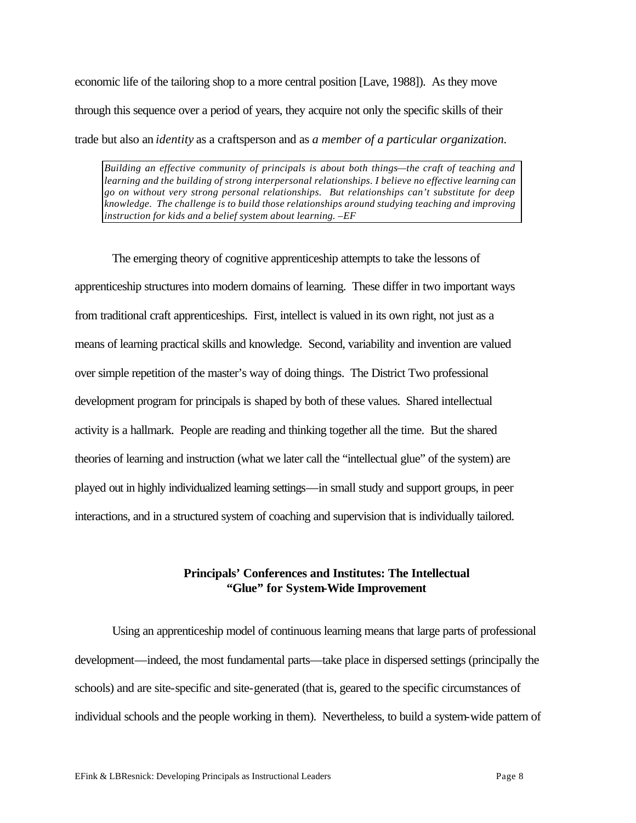economic life of the tailoring shop to a more central position [Lave, 1988]). As they move through this sequence over a period of years, they acquire not only the specific skills of their trade but also an *identity* as a craftsperson and as *a member of a particular organization.* 

*Building an effective community of principals is about both things—the craft of teaching and learning and the building of strong interpersonal relationships. I believe no effective learning can go on without very strong personal relationships. But relationships can't substitute for deep knowledge. The challenge is to build those relationships around studying teaching and improving instruction for kids and a belief system about learning. –EF* 

The emerging theory of cognitive apprenticeship attempts to take the lessons of apprenticeship structures into modern domains of learning. These differ in two important ways from traditional craft apprenticeships. First, intellect is valued in its own right, not just as a means of learning practical skills and knowledge. Second, variability and invention are valued over simple repetition of the master's way of doing things. The District Two professional development program for principals is shaped by both of these values. Shared intellectual activity is a hallmark. People are reading and thinking together all the time. But the shared theories of learning and instruction (what we later call the "intellectual glue" of the system) are played out in highly individualized learning settings—in small study and support groups, in peer interactions, and in a structured system of coaching and supervision that is individually tailored.

# **Principals' Conferences and Institutes: The Intellectual "Glue" for System-Wide Improvement**

Using an apprenticeship model of continuous learning means that large parts of professional development—indeed, the most fundamental parts—take place in dispersed settings (principally the schools) and are site-specific and site-generated (that is, geared to the specific circumstances of individual schools and the people working in them). Nevertheless, to build a system-wide pattern of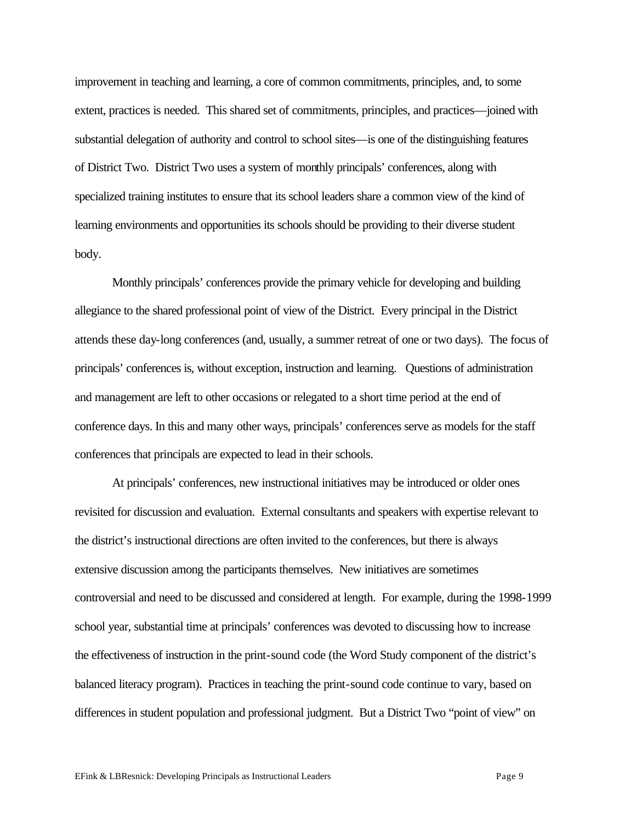improvement in teaching and learning, a core of common commitments, principles, and, to some extent, practices is needed. This shared set of commitments, principles, and practices—joined with substantial delegation of authority and control to school sites—is one of the distinguishing features of District Two. District Two uses a system of monthly principals' conferences, along with specialized training institutes to ensure that its school leaders share a common view of the kind of learning environments and opportunities its schools should be providing to their diverse student body.

Monthly principals' conferences provide the primary vehicle for developing and building allegiance to the shared professional point of view of the District. Every principal in the District attends these day-long conferences (and, usually, a summer retreat of one or two days). The focus of principals' conferences is, without exception, instruction and learning. Questions of administration and management are left to other occasions or relegated to a short time period at the end of conference days. In this and many other ways, principals' conferences serve as models for the staff conferences that principals are expected to lead in their schools.

At principals' conferences, new instructional initiatives may be introduced or older ones revisited for discussion and evaluation. External consultants and speakers with expertise relevant to the district's instructional directions are often invited to the conferences, but there is always extensive discussion among the participants themselves. New initiatives are sometimes controversial and need to be discussed and considered at length. For example, during the 1998-1999 school year, substantial time at principals' conferences was devoted to discussing how to increase the effectiveness of instruction in the print-sound code (the Word Study component of the district's balanced literacy program). Practices in teaching the print-sound code continue to vary, based on differences in student population and professional judgment. But a District Two "point of view" on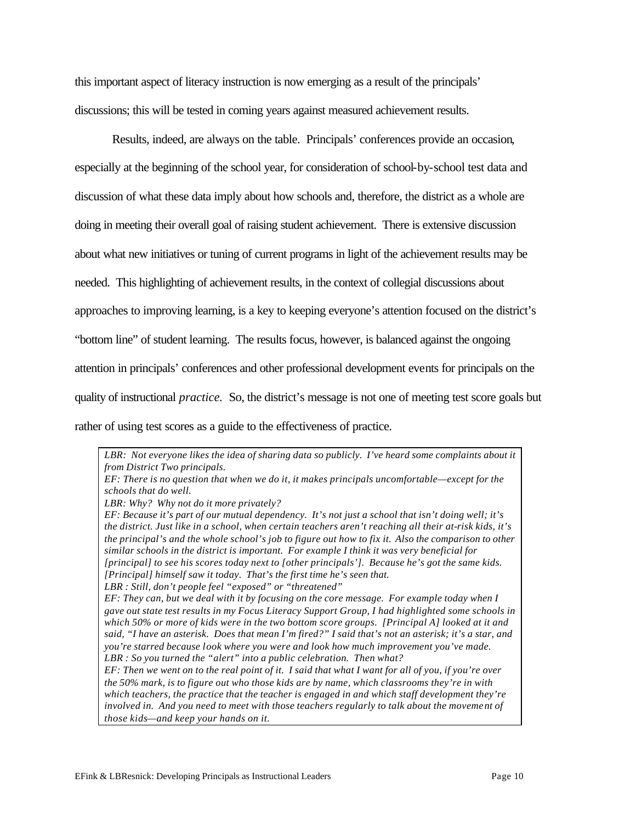this important aspect of literacy instruction is now emerging as a result of the principals' discussions; this will be tested in coming years against measured achievement results.

Results, indeed, are always on the table. Principals' conferences provide an occasion, especially at the beginning of the school year, for consideration of school-by-school test data and discussion of what these data imply about how schools and, therefore, the district as a whole are doing in meeting their overall goal of raising student achievement. There is extensive discussion about what new initiatives or tuning of current programs in light of the achievement results may be needed. This highlighting of achievement results, in the context of collegial discussions about approaches to improving learning, is a key to keeping everyone's attention focused on the district's "bottom line" of student learning. The results focus, however, is balanced against the ongoing attention in principals' conferences and other professional development events for principals on the quality of instructional *practice.* So, the district's message is not one of meeting test score goals but rather of using test scores as a guide to the effectiveness of practice.

LBR: Not everyone likes the idea of sharing data so publicly. I've heard some complaints about it *from District Two principals. EF: There is no question that when we do it, it makes principals uncomfortable—except for the schools that do well. LBR: Why? Why not do it more privately? EF: Because it's part of our mutual dependency. It's not just a school that isn't doing well; it's the district. Just like in a school, when certain teachers aren't reaching all their at-risk kids, it's the principal's and the whole school's job to figure out how to fix it. Also the comparison to other similar schools in the district is important. For example I think it was very beneficial for [principal] to see his scores today next to [other principals']. Because he's got the same kids. [Principal] himself saw it today. That's the first time he's seen that. LBR : Still, don't people feel "exposed" or "threatened" EF: They can, but we deal with it by focusing on the core message. For example today when I gave out state test results in my Focus Literacy Support Group, I had highlighted some schools in which 50% or more of kids were in the two bottom score groups. [Principal A] looked at it and said, "I have an asterisk. Does that mean I'm fired?" I said that's not an asterisk; it's a star, and you're starred because look where you were and look how much improvement you've made. LBR : So you turned the "alert" into a public celebration. Then what? EF: Then we went on to the real point of it. I said that what I want for all of you, if you're over the 50% mark, is to figure out who those kids are by name, which classrooms they're in with which teachers, the practice that the teacher is engaged in and which staff development they're involved in. And you need to meet with those teachers regularly to talk about the movement of those kids—and keep your hands on it.*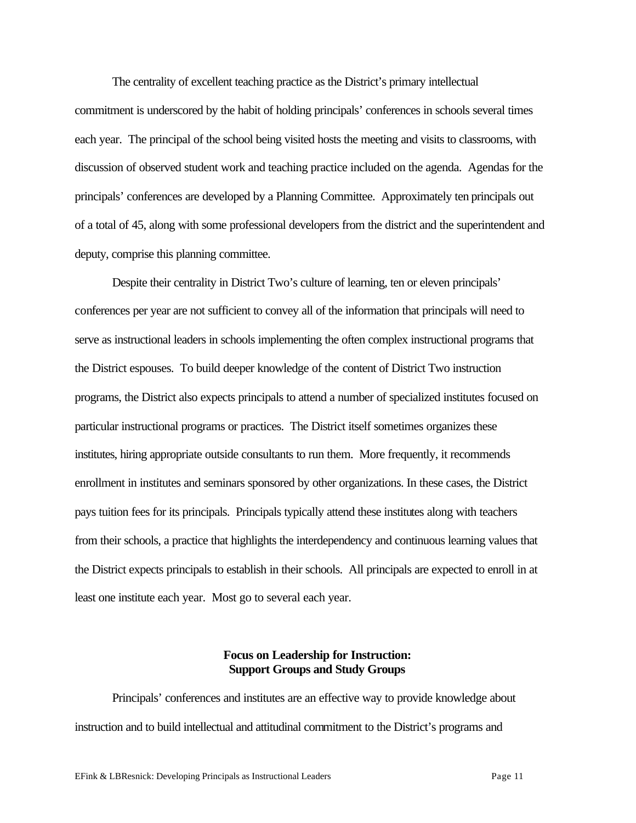The centrality of excellent teaching practice as the District's primary intellectual commitment is underscored by the habit of holding principals' conferences in schools several times each year. The principal of the school being visited hosts the meeting and visits to classrooms, with discussion of observed student work and teaching practice included on the agenda. Agendas for the principals' conferences are developed by a Planning Committee. Approximately ten principals out of a total of 45, along with some professional developers from the district and the superintendent and deputy, comprise this planning committee.

Despite their centrality in District Two's culture of learning, ten or eleven principals' conferences per year are not sufficient to convey all of the information that principals will need to serve as instructional leaders in schools implementing the often complex instructional programs that the District espouses. To build deeper knowledge of the content of District Two instruction programs, the District also expects principals to attend a number of specialized institutes focused on particular instructional programs or practices. The District itself sometimes organizes these institutes, hiring appropriate outside consultants to run them. More frequently, it recommends enrollment in institutes and seminars sponsored by other organizations. In these cases, the District pays tuition fees for its principals. Principals typically attend these institutes along with teachers from their schools, a practice that highlights the interdependency and continuous learning values that the District expects principals to establish in their schools. All principals are expected to enroll in at least one institute each year. Most go to several each year.

### **Focus on Leadership for Instruction: Support Groups and Study Groups**

Principals' conferences and institutes are an effective way to provide knowledge about instruction and to build intellectual and attitudinal commitment to the District's programs and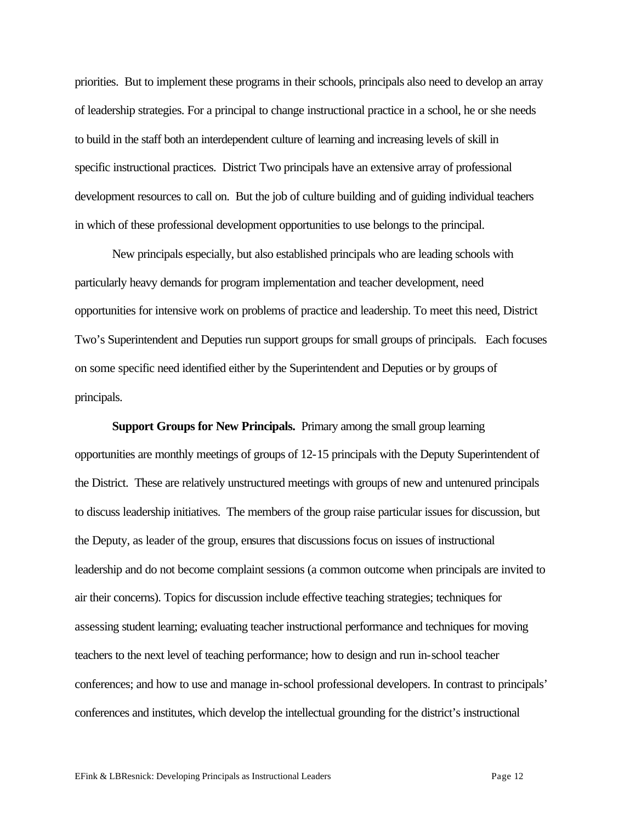priorities. But to implement these programs in their schools, principals also need to develop an array of leadership strategies. For a principal to change instructional practice in a school, he or she needs to build in the staff both an interdependent culture of learning and increasing levels of skill in specific instructional practices. District Two principals have an extensive array of professional development resources to call on. But the job of culture building and of guiding individual teachers in which of these professional development opportunities to use belongs to the principal.

New principals especially, but also established principals who are leading schools with particularly heavy demands for program implementation and teacher development, need opportunities for intensive work on problems of practice and leadership. To meet this need, District Two's Superintendent and Deputies run support groups for small groups of principals. Each focuses on some specific need identified either by the Superintendent and Deputies or by groups of principals.

**Support Groups for New Principals.** Primary among the small group learning opportunities are monthly meetings of groups of 12-15 principals with the Deputy Superintendent of the District. These are relatively unstructured meetings with groups of new and untenured principals to discuss leadership initiatives. The members of the group raise particular issues for discussion, but the Deputy, as leader of the group, ensures that discussions focus on issues of instructional leadership and do not become complaint sessions (a common outcome when principals are invited to air their concerns). Topics for discussion include effective teaching strategies; techniques for assessing student learning; evaluating teacher instructional performance and techniques for moving teachers to the next level of teaching performance; how to design and run in-school teacher conferences; and how to use and manage in-school professional developers. In contrast to principals' conferences and institutes, which develop the intellectual grounding for the district's instructional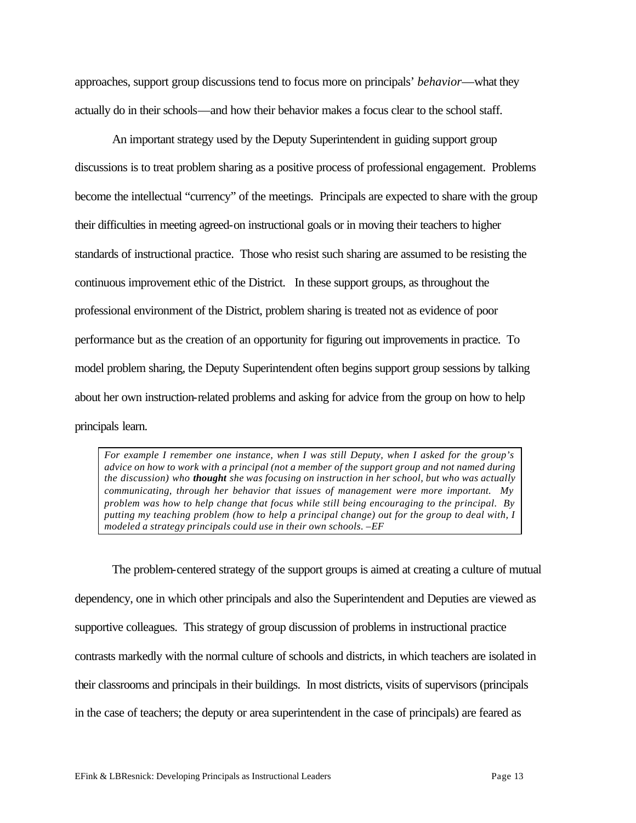approaches, support group discussions tend to focus more on principals' *behavior*—what they actually do in their schools—and how their behavior makes a focus clear to the school staff.

An important strategy used by the Deputy Superintendent in guiding support group discussions is to treat problem sharing as a positive process of professional engagement. Problems become the intellectual "currency" of the meetings. Principals are expected to share with the group their difficulties in meeting agreed-on instructional goals or in moving their teachers to higher standards of instructional practice. Those who resist such sharing are assumed to be resisting the continuous improvement ethic of the District. In these support groups, as throughout the professional environment of the District, problem sharing is treated not as evidence of poor performance but as the creation of an opportunity for figuring out improvements in practice. To model problem sharing, the Deputy Superintendent often begins support group sessions by talking about her own instruction-related problems and asking for advice from the group on how to help principals learn.

*For example I remember one instance, when I was still Deputy, when I asked for the group's advice on how to work with a principal (not a member of the support group and not named during the discussion) who thought she was focusing on instruction in her school, but who was actually communicating, through her behavior that issues of management were more important. My problem was how to help change that focus while still being encouraging to the principal. By putting my teaching problem (how to help a principal change) out for the group to deal with, I modeled a strategy principals could use in their own schools. –EF*

The problem-centered strategy of the support groups is aimed at creating a culture of mutual dependency, one in which other principals and also the Superintendent and Deputies are viewed as supportive colleagues. This strategy of group discussion of problems in instructional practice contrasts markedly with the normal culture of schools and districts, in which teachers are isolated in their classrooms and principals in their buildings. In most districts, visits of supervisors (principals in the case of teachers; the deputy or area superintendent in the case of principals) are feared as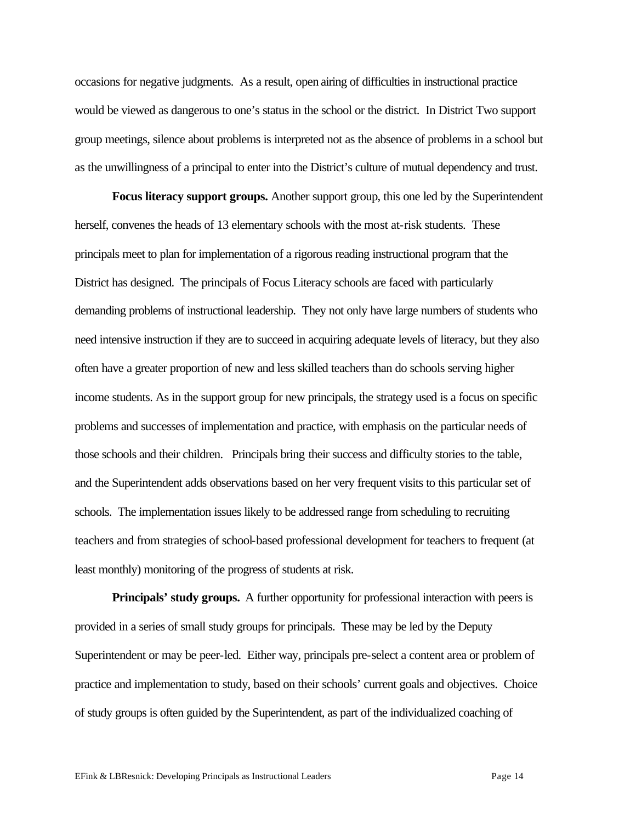occasions for negative judgments. As a result, open airing of difficulties in instructional practice would be viewed as dangerous to one's status in the school or the district. In District Two support group meetings, silence about problems is interpreted not as the absence of problems in a school but as the unwillingness of a principal to enter into the District's culture of mutual dependency and trust.

**Focus literacy support groups.** Another support group, this one led by the Superintendent herself, convenes the heads of 13 elementary schools with the most at-risk students. These principals meet to plan for implementation of a rigorous reading instructional program that the District has designed. The principals of Focus Literacy schools are faced with particularly demanding problems of instructional leadership. They not only have large numbers of students who need intensive instruction if they are to succeed in acquiring adequate levels of literacy, but they also often have a greater proportion of new and less skilled teachers than do schools serving higher income students. As in the support group for new principals, the strategy used is a focus on specific problems and successes of implementation and practice, with emphasis on the particular needs of those schools and their children. Principals bring their success and difficulty stories to the table, and the Superintendent adds observations based on her very frequent visits to this particular set of schools. The implementation issues likely to be addressed range from scheduling to recruiting teachers and from strategies of school-based professional development for teachers to frequent (at least monthly) monitoring of the progress of students at risk.

**Principals' study groups.** A further opportunity for professional interaction with peers is provided in a series of small study groups for principals. These may be led by the Deputy Superintendent or may be peer-led. Either way, principals pre-select a content area or problem of practice and implementation to study, based on their schools' current goals and objectives. Choice of study groups is often guided by the Superintendent, as part of the individualized coaching of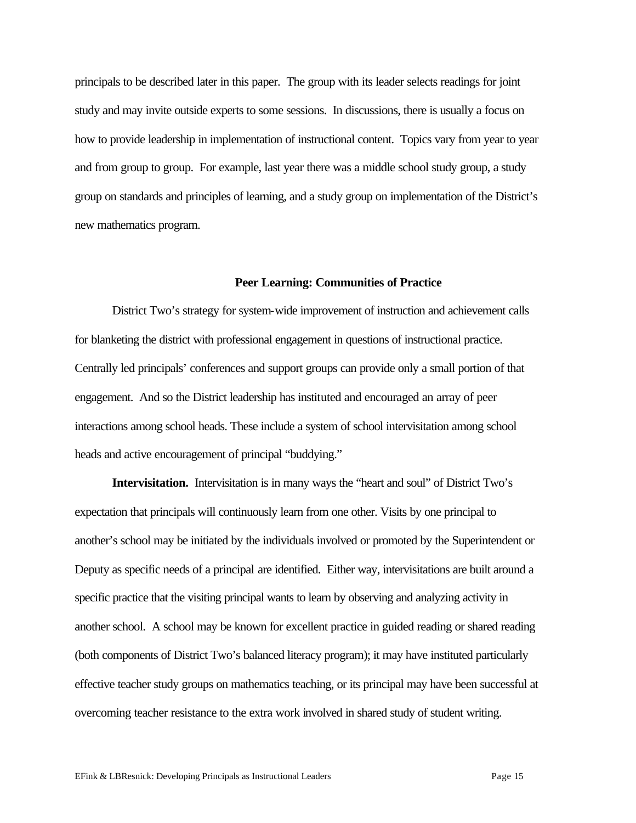principals to be described later in this paper. The group with its leader selects readings for joint study and may invite outside experts to some sessions. In discussions, there is usually a focus on how to provide leadership in implementation of instructional content. Topics vary from year to year and from group to group. For example, last year there was a middle school study group, a study group on standards and principles of learning, and a study group on implementation of the District's new mathematics program.

#### **Peer Learning: Communities of Practice**

District Two's strategy for system-wide improvement of instruction and achievement calls for blanketing the district with professional engagement in questions of instructional practice. Centrally led principals' conferences and support groups can provide only a small portion of that engagement. And so the District leadership has instituted and encouraged an array of peer interactions among school heads. These include a system of school intervisitation among school heads and active encouragement of principal "buddying."

**Intervisitation.** Intervisitation is in many ways the "heart and soul" of District Two's expectation that principals will continuously learn from one other. Visits by one principal to another's school may be initiated by the individuals involved or promoted by the Superintendent or Deputy as specific needs of a principal are identified. Either way, intervisitations are built around a specific practice that the visiting principal wants to learn by observing and analyzing activity in another school. A school may be known for excellent practice in guided reading or shared reading (both components of District Two's balanced literacy program); it may have instituted particularly effective teacher study groups on mathematics teaching, or its principal may have been successful at overcoming teacher resistance to the extra work involved in shared study of student writing.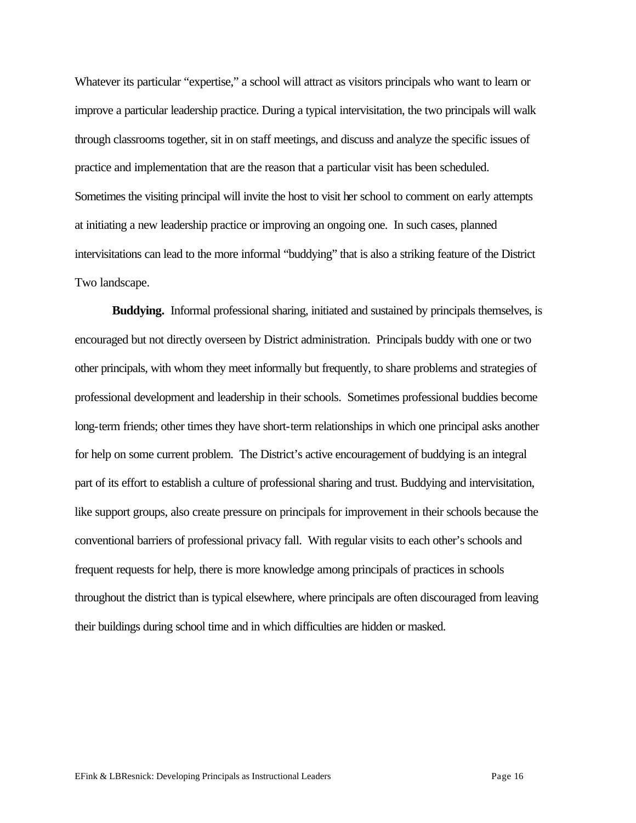Whatever its particular "expertise," a school will attract as visitors principals who want to learn or improve a particular leadership practice. During a typical intervisitation, the two principals will walk through classrooms together, sit in on staff meetings, and discuss and analyze the specific issues of practice and implementation that are the reason that a particular visit has been scheduled. Sometimes the visiting principal will invite the host to visit her school to comment on early attempts at initiating a new leadership practice or improving an ongoing one. In such cases, planned intervisitations can lead to the more informal "buddying" that is also a striking feature of the District Two landscape.

**Buddying.** Informal professional sharing, initiated and sustained by principals themselves, is encouraged but not directly overseen by District administration. Principals buddy with one or two other principals, with whom they meet informally but frequently, to share problems and strategies of professional development and leadership in their schools. Sometimes professional buddies become long-term friends; other times they have short-term relationships in which one principal asks another for help on some current problem. The District's active encouragement of buddying is an integral part of its effort to establish a culture of professional sharing and trust. Buddying and intervisitation, like support groups, also create pressure on principals for improvement in their schools because the conventional barriers of professional privacy fall. With regular visits to each other's schools and frequent requests for help, there is more knowledge among principals of practices in schools throughout the district than is typical elsewhere, where principals are often discouraged from leaving their buildings during school time and in which difficulties are hidden or masked.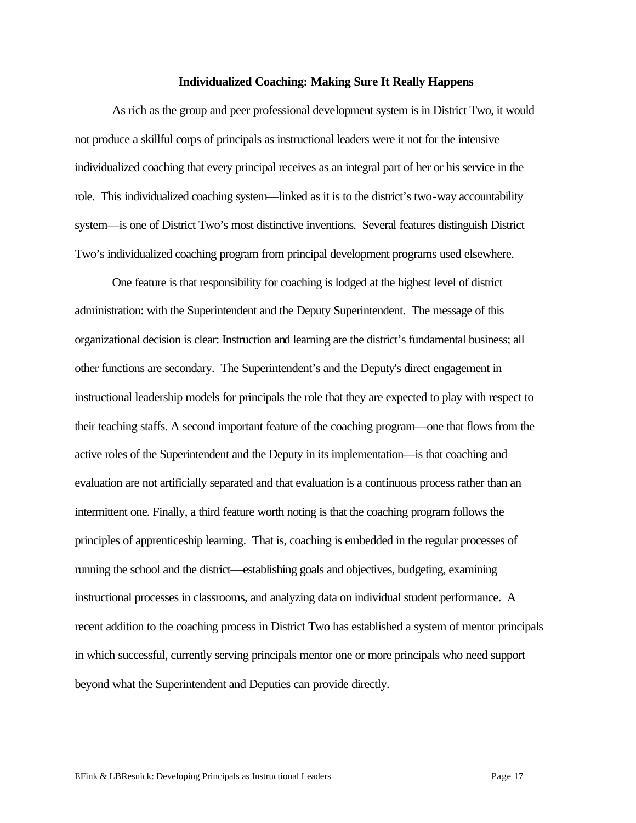#### **Individualized Coaching: Making Sure It Really Happens**

As rich as the group and peer professional development system is in District Two, it would not produce a skillful corps of principals as instructional leaders were it not for the intensive individualized coaching that every principal receives as an integral part of her or his service in the role. This individualized coaching system—linked as it is to the district's two-way accountability system—is one of District Two's most distinctive inventions. Several features distinguish District Two's individualized coaching program from principal development programs used elsewhere.

One feature is that responsibility for coaching is lodged at the highest level of district administration: with the Superintendent and the Deputy Superintendent. The message of this organizational decision is clear: Instruction and learning are the district's fundamental business; all other functions are secondary. The Superintendent's and the Deputy's direct engagement in instructional leadership models for principals the role that they are expected to play with respect to their teaching staffs. A second important feature of the coaching program—one that flows from the active roles of the Superintendent and the Deputy in its implementation—is that coaching and evaluation are not artificially separated and that evaluation is a continuous process rather than an intermittent one. Finally, a third feature worth noting is that the coaching program follows the principles of apprenticeship learning. That is, coaching is embedded in the regular processes of running the school and the district—establishing goals and objectives, budgeting, examining instructional processes in classrooms, and analyzing data on individual student performance. A recent addition to the coaching process in District Two has established a system of mentor principals in which successful, currently serving principals mentor one or more principals who need support beyond what the Superintendent and Deputies can provide directly.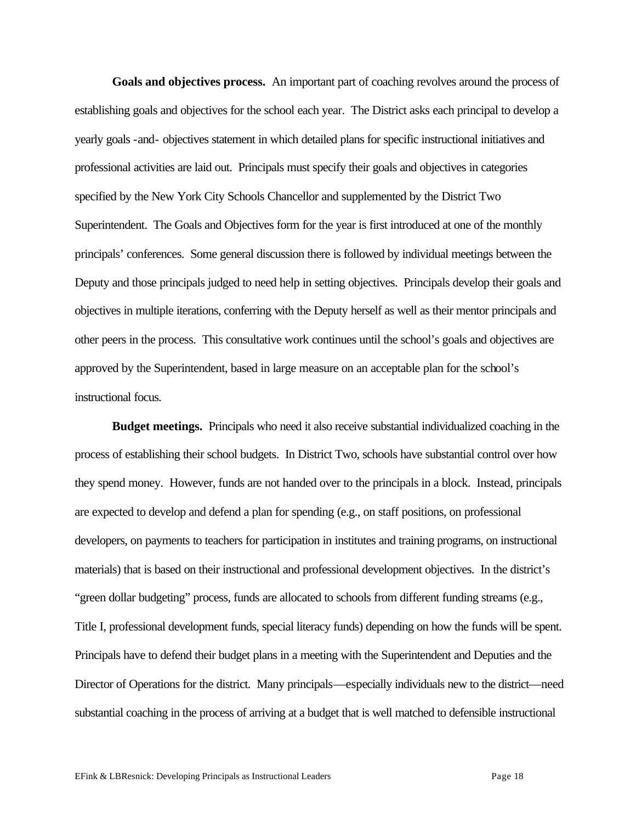**Goals and objectives process.** An important part of coaching revolves around the process of establishing goals and objectives for the school each year. The District asks each principal to develop a yearly goals -and- objectives statement in which detailed plans for specific instructional initiatives and professional activities are laid out. Principals must specify their goals and objectives in categories specified by the New York City Schools Chancellor and supplemented by the District Two Superintendent. The Goals and Objectives form for the year is first introduced at one of the monthly principals' conferences. Some general discussion there is followed by individual meetings between the Deputy and those principals judged to need help in setting objectives. Principals develop their goals and objectives in multiple iterations, conferring with the Deputy herself as well as their mentor principals and other peers in the process. This consultative work continues until the school's goals and objectives are approved by the Superintendent, based in large measure on an acceptable plan for the school's instructional focus.

**Budget meetings.** Principals who need it also receive substantial individualized coaching in the process of establishing their school budgets. In District Two, schools have substantial control over how they spend money. However, funds are not handed over to the principals in a block. Instead, principals are expected to develop and defend a plan for spending (e.g., on staff positions, on professional developers, on payments to teachers for participation in institutes and training programs, on instructional materials) that is based on their instructional and professional development objectives. In the district's "green dollar budgeting" process, funds are allocated to schools from different funding streams (e.g., Title I, professional development funds, special literacy funds) depending on how the funds will be spent. Principals have to defend their budget plans in a meeting with the Superintendent and Deputies and the Director of Operations for the district. Many principals—especially individuals new to the district—need substantial coaching in the process of arriving at a budget that is well matched to defensible instructional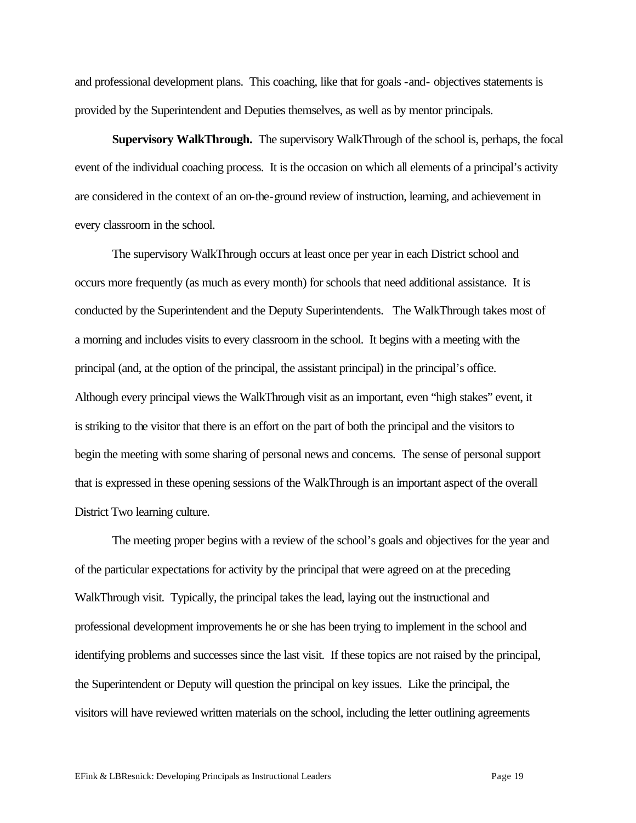and professional development plans. This coaching, like that for goals -and- objectives statements is provided by the Superintendent and Deputies themselves, as well as by mentor principals.

**Supervisory WalkThrough.** The supervisory WalkThrough of the school is, perhaps, the focal event of the individual coaching process. It is the occasion on which all elements of a principal's activity are considered in the context of an on-the-ground review of instruction, learning, and achievement in every classroom in the school.

The supervisory WalkThrough occurs at least once per year in each District school and occurs more frequently (as much as every month) for schools that need additional assistance. It is conducted by the Superintendent and the Deputy Superintendents. The WalkThrough takes most of a morning and includes visits to every classroom in the school. It begins with a meeting with the principal (and, at the option of the principal, the assistant principal) in the principal's office. Although every principal views the WalkThrough visit as an important, even "high stakes" event, it is striking to the visitor that there is an effort on the part of both the principal and the visitors to begin the meeting with some sharing of personal news and concerns. The sense of personal support that is expressed in these opening sessions of the WalkThrough is an important aspect of the overall District Two learning culture.

The meeting proper begins with a review of the school's goals and objectives for the year and of the particular expectations for activity by the principal that were agreed on at the preceding WalkThrough visit. Typically, the principal takes the lead, laying out the instructional and professional development improvements he or she has been trying to implement in the school and identifying problems and successes since the last visit. If these topics are not raised by the principal, the Superintendent or Deputy will question the principal on key issues. Like the principal, the visitors will have reviewed written materials on the school, including the letter outlining agreements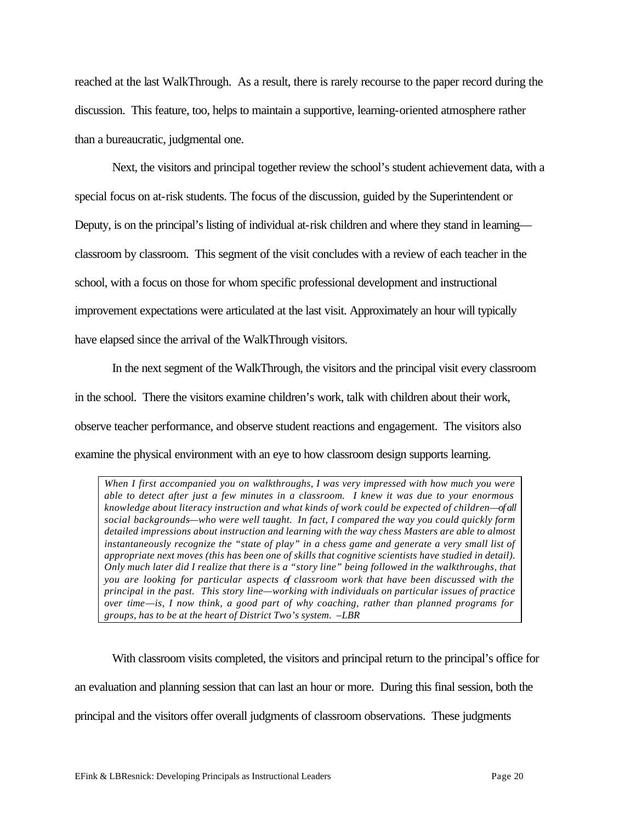reached at the last WalkThrough. As a result, there is rarely recourse to the paper record during the discussion. This feature, too, helps to maintain a supportive, learning-oriented atmosphere rather than a bureaucratic, judgmental one.

Next, the visitors and principal together review the school's student achievement data, with a special focus on at-risk students. The focus of the discussion, guided by the Superintendent or Deputy, is on the principal's listing of individual at-risk children and where they stand in learning classroom by classroom. This segment of the visit concludes with a review of each teacher in the school, with a focus on those for whom specific professional development and instructional improvement expectations were articulated at the last visit. Approximately an hour will typically have elapsed since the arrival of the WalkThrough visitors.

In the next segment of the WalkThrough, the visitors and the principal visit every classroom in the school. There the visitors examine children's work, talk with children about their work, observe teacher performance, and observe student reactions and engagement. The visitors also examine the physical environment with an eye to how classroom design supports learning.

*When I first accompanied you on walkthroughs, I was very impressed with how much you were able to detect after just a few minutes in a classroom. I knew it was due to your enormous knowledge about literacy instruction and what kinds of work could be expected of children—of all social backgrounds—who were well taught. In fact, I compared the way you could quickly form detailed impressions about instruction and learning with the way chess Masters are able to almost instantaneously recognize the "state of play" in a chess game and generate a very small list of appropriate next moves (this has been one of skills that cognitive scientists have studied in detail). Only much later did I realize that there is a "story line" being followed in the walkthroughs, that you are looking for particular aspects of classroom work that have been discussed with the principal in the past. This story line—working with individuals on particular issues of practice over time—is, I now think, a good part of why coaching, rather than planned programs for groups, has to be at the heart of District Two's system. –LBR* 

With classroom visits completed, the visitors and principal return to the principal's office for an evaluation and planning session that can last an hour or more. During this final session, both the principal and the visitors offer overall judgments of classroom observations. These judgments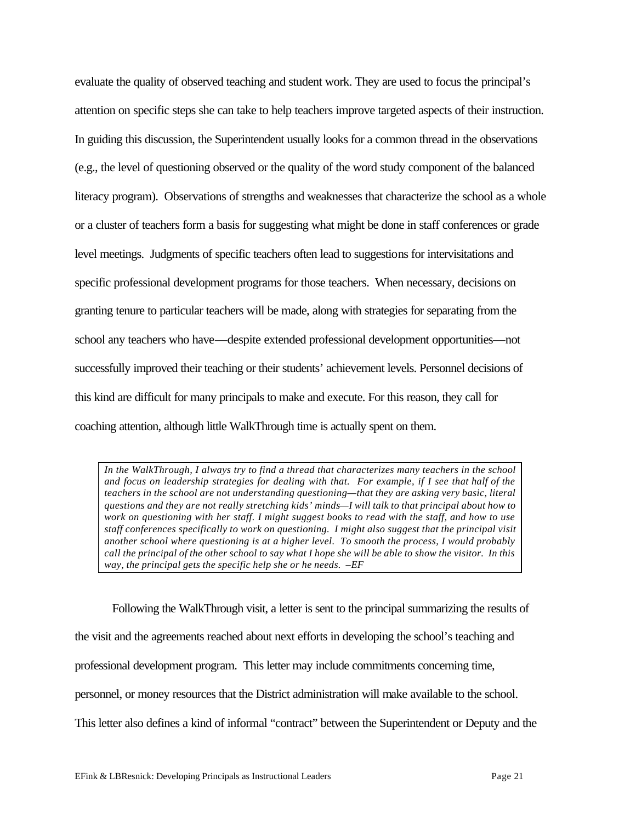evaluate the quality of observed teaching and student work. They are used to focus the principal's attention on specific steps she can take to help teachers improve targeted aspects of their instruction. In guiding this discussion, the Superintendent usually looks for a common thread in the observations (e.g., the level of questioning observed or the quality of the word study component of the balanced literacy program). Observations of strengths and weaknesses that characterize the school as a whole or a cluster of teachers form a basis for suggesting what might be done in staff conferences or grade level meetings. Judgments of specific teachers often lead to suggestions for intervisitations and specific professional development programs for those teachers. When necessary, decisions on granting tenure to particular teachers will be made, along with strategies for separating from the school any teachers who have—despite extended professional development opportunities—not successfully improved their teaching or their students' achievement levels. Personnel decisions of this kind are difficult for many principals to make and execute. For this reason, they call for coaching attention, although little WalkThrough time is actually spent on them.

*In the WalkThrough, I always try to find a thread that characterizes many teachers in the school and focus on leadership strategies for dealing with that. For example, if I see that half of the teachers in the school are not understanding questioning—that they are asking very basic, literal questions and they are not really stretching kids' minds—I will talk to that principal about how to work on questioning with her staff. I might suggest books to read with the staff, and how to use staff conferences specifically to work on questioning. I might also suggest that the principal visit another school where questioning is at a higher level. To smooth the process, I would probably call the principal of the other school to say what I hope she will be able to show the visitor. In this way, the principal gets the specific help she or he needs. –EF*

Following the WalkThrough visit, a letter is sent to the principal summarizing the results of the visit and the agreements reached about next efforts in developing the school's teaching and professional development program. This letter may include commitments concerning time, personnel, or money resources that the District administration will make available to the school. This letter also defines a kind of informal "contract" between the Superintendent or Deputy and the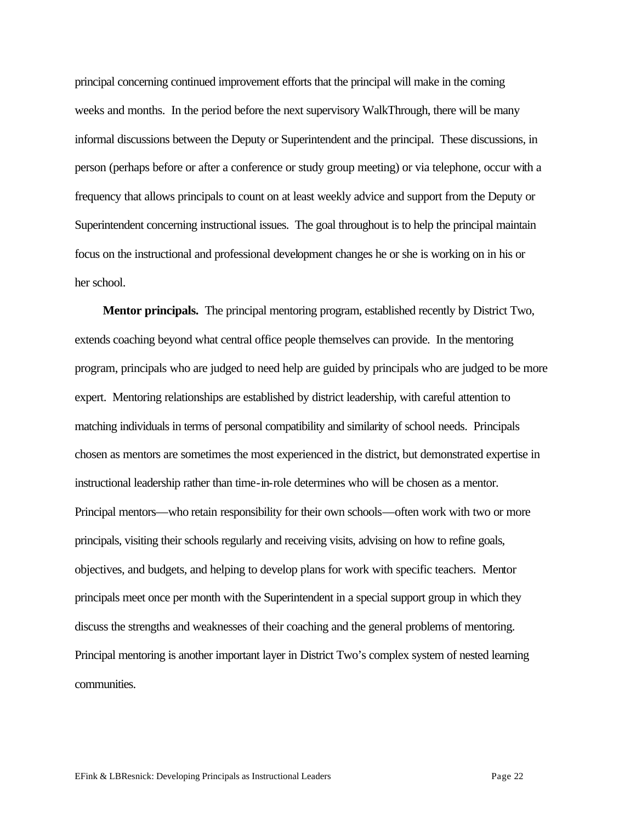principal concerning continued improvement efforts that the principal will make in the coming weeks and months. In the period before the next supervisory WalkThrough, there will be many informal discussions between the Deputy or Superintendent and the principal. These discussions, in person (perhaps before or after a conference or study group meeting) or via telephone, occur with a frequency that allows principals to count on at least weekly advice and support from the Deputy or Superintendent concerning instructional issues. The goal throughout is to help the principal maintain focus on the instructional and professional development changes he or she is working on in his or her school.

**Mentor principals.** The principal mentoring program, established recently by District Two, extends coaching beyond what central office people themselves can provide. In the mentoring program, principals who are judged to need help are guided by principals who are judged to be more expert. Mentoring relationships are established by district leadership, with careful attention to matching individuals in terms of personal compatibility and similarity of school needs. Principals chosen as mentors are sometimes the most experienced in the district, but demonstrated expertise in instructional leadership rather than time-in-role determines who will be chosen as a mentor. Principal mentors—who retain responsibility for their own schools—often work with two or more principals, visiting their schools regularly and receiving visits, advising on how to refine goals, objectives, and budgets, and helping to develop plans for work with specific teachers. Mentor principals meet once per month with the Superintendent in a special support group in which they discuss the strengths and weaknesses of their coaching and the general problems of mentoring. Principal mentoring is another important layer in District Two's complex system of nested learning communities.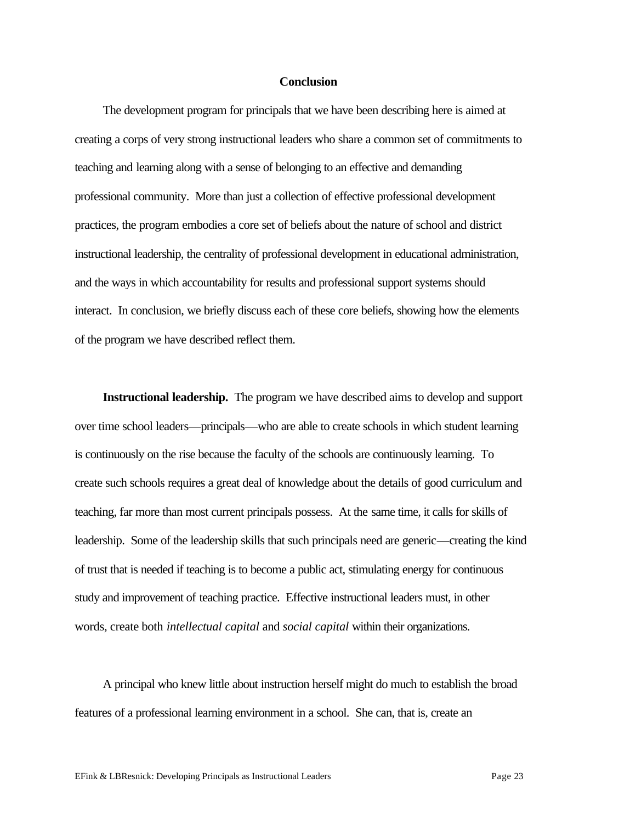## **Conclusion**

The development program for principals that we have been describing here is aimed at creating a corps of very strong instructional leaders who share a common set of commitments to teaching and learning along with a sense of belonging to an effective and demanding professional community. More than just a collection of effective professional development practices, the program embodies a core set of beliefs about the nature of school and district instructional leadership, the centrality of professional development in educational administration, and the ways in which accountability for results and professional support systems should interact. In conclusion, we briefly discuss each of these core beliefs, showing how the elements of the program we have described reflect them.

**Instructional leadership.** The program we have described aims to develop and support over time school leaders—principals—who are able to create schools in which student learning is continuously on the rise because the faculty of the schools are continuously learning. To create such schools requires a great deal of knowledge about the details of good curriculum and teaching, far more than most current principals possess. At the same time, it calls for skills of leadership. Some of the leadership skills that such principals need are generic—creating the kind of trust that is needed if teaching is to become a public act, stimulating energy for continuous study and improvement of teaching practice. Effective instructional leaders must, in other words, create both *intellectual capital* and *social capital* within their organizations.

A principal who knew little about instruction herself might do much to establish the broad features of a professional learning environment in a school. She can, that is, create an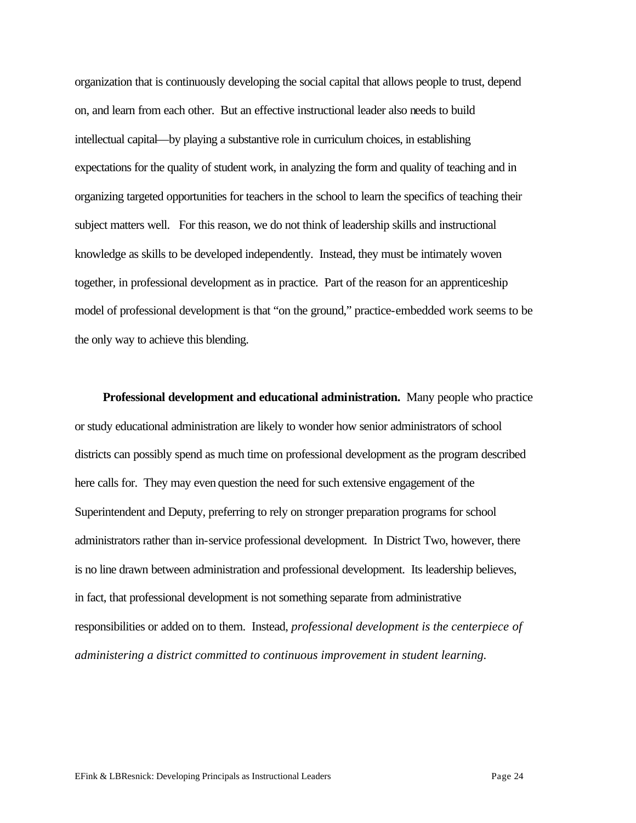organization that is continuously developing the social capital that allows people to trust, depend on, and learn from each other. But an effective instructional leader also needs to build intellectual capital—by playing a substantive role in curriculum choices, in establishing expectations for the quality of student work, in analyzing the form and quality of teaching and in organizing targeted opportunities for teachers in the school to learn the specifics of teaching their subject matters well. For this reason, we do not think of leadership skills and instructional knowledge as skills to be developed independently. Instead, they must be intimately woven together, in professional development as in practice. Part of the reason for an apprenticeship model of professional development is that "on the ground," practice-embedded work seems to be the only way to achieve this blending.

**Professional development and educational administration.** Many people who practice or study educational administration are likely to wonder how senior administrators of school districts can possibly spend as much time on professional development as the program described here calls for. They may even question the need for such extensive engagement of the Superintendent and Deputy, preferring to rely on stronger preparation programs for school administrators rather than in-service professional development. In District Two, however, there is no line drawn between administration and professional development. Its leadership believes, in fact, that professional development is not something separate from administrative responsibilities or added on to them. Instead, *professional development is the centerpiece of administering a district committed to continuous improvement in student learning.*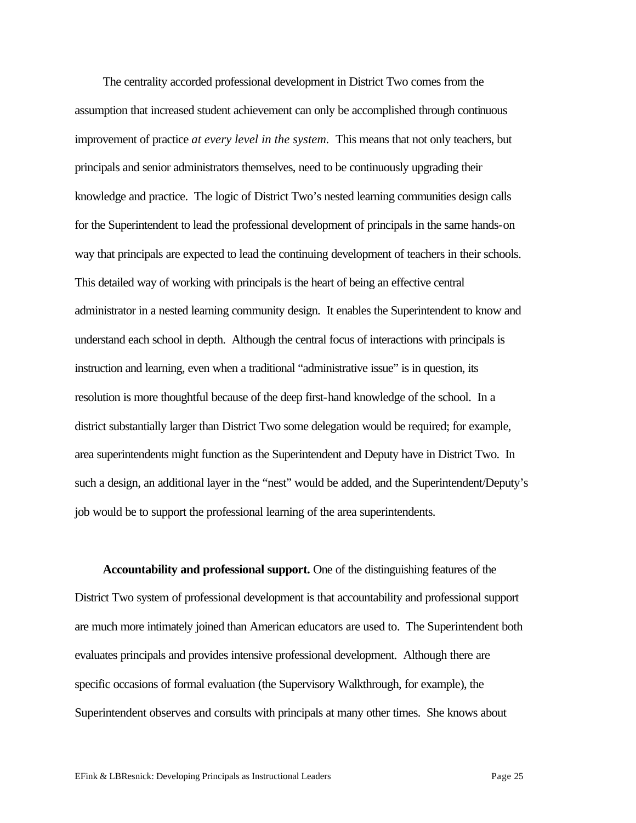The centrality accorded professional development in District Two comes from the assumption that increased student achievement can only be accomplished through continuous improvement of practice *at every level in the system.* This means that not only teachers, but principals and senior administrators themselves, need to be continuously upgrading their knowledge and practice. The logic of District Two's nested learning communities design calls for the Superintendent to lead the professional development of principals in the same hands-on way that principals are expected to lead the continuing development of teachers in their schools. This detailed way of working with principals is the heart of being an effective central administrator in a nested learning community design. It enables the Superintendent to know and understand each school in depth. Although the central focus of interactions with principals is instruction and learning, even when a traditional "administrative issue" is in question, its resolution is more thoughtful because of the deep first-hand knowledge of the school. In a district substantially larger than District Two some delegation would be required; for example, area superintendents might function as the Superintendent and Deputy have in District Two. In such a design, an additional layer in the "nest" would be added, and the Superintendent/Deputy's job would be to support the professional learning of the area superintendents.

**Accountability and professional support.** One of the distinguishing features of the District Two system of professional development is that accountability and professional support are much more intimately joined than American educators are used to. The Superintendent both evaluates principals and provides intensive professional development. Although there are specific occasions of formal evaluation (the Supervisory Walkthrough, for example), the Superintendent observes and consults with principals at many other times. She knows about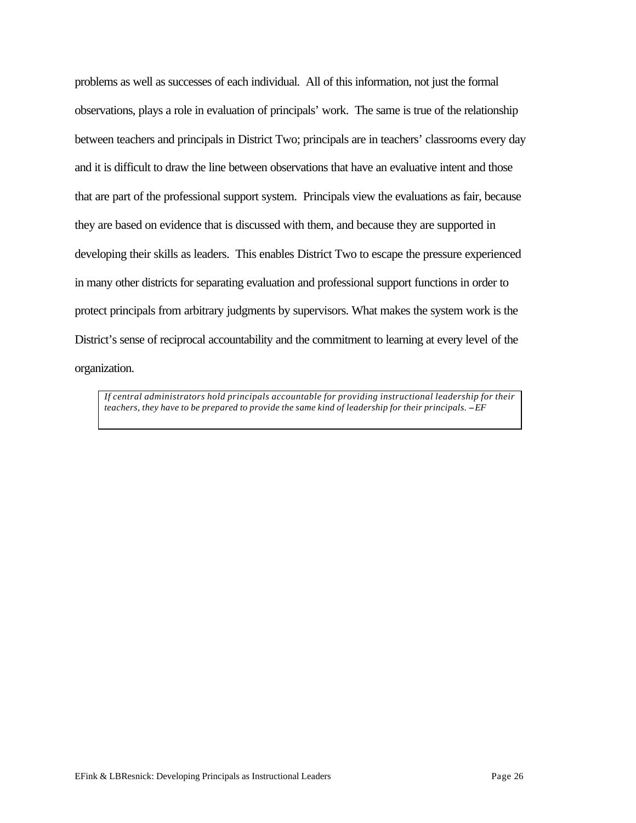problems as well as successes of each individual. All of this information, not just the formal observations, plays a role in evaluation of principals' work. The same is true of the relationship between teachers and principals in District Two; principals are in teachers' classrooms every day and it is difficult to draw the line between observations that have an evaluative intent and those that are part of the professional support system. Principals view the evaluations as fair, because they are based on evidence that is discussed with them, and because they are supported in developing their skills as leaders. This enables District Two to escape the pressure experienced in many other districts for separating evaluation and professional support functions in order to protect principals from arbitrary judgments by supervisors. What makes the system work is the District's sense of reciprocal accountability and the commitment to learning at every level of the organization.

*If central administrators hold principals accountable for providing instructional leadership for their teachers, they have to be prepared to provide the same kind of leadership for their principals. -- EF*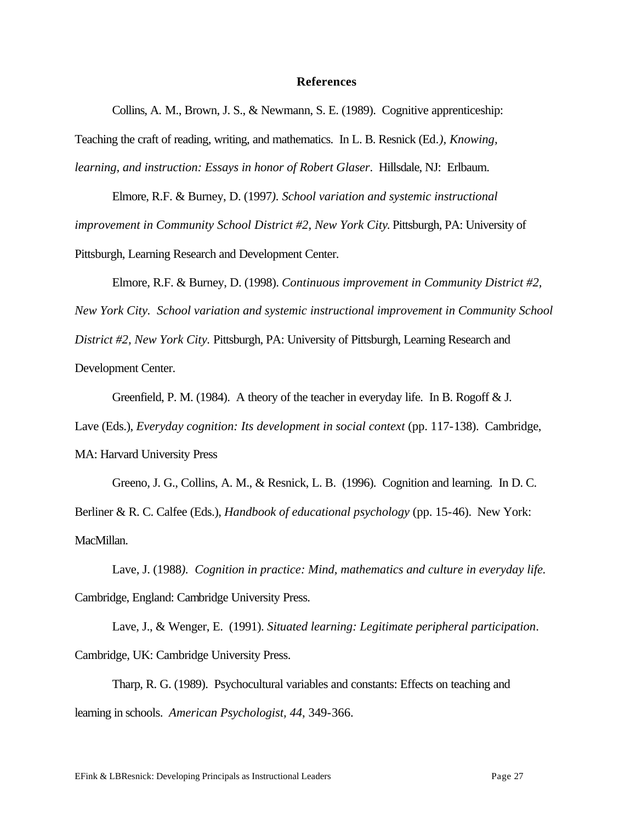#### **References**

Collins, A. M., Brown, J. S., & Newmann, S. E. (1989). Cognitive apprenticeship:

Teaching the craft of reading, writing, and mathematics. In L. B. Resnick (Ed*.), Knowing, learning, and instruction: Essays in honor of Robert Glaser*. Hillsdale, NJ: Erlbaum.

Elmore, R.F. & Burney, D. (1997*). School variation and systemic instructional improvement in Community School District #2, New York City*. Pittsburgh, PA: University of Pittsburgh, Learning Research and Development Center.

Elmore, R.F. & Burney, D. (1998). *Continuous improvement in Community District #2, New York City. School variation and systemic instructional improvement in Community School District #2, New York City.* Pittsburgh, PA: University of Pittsburgh, Learning Research and Development Center.

Greenfield, P. M. (1984). A theory of the teacher in everyday life. In B. Rogoff  $& J.$ 

Lave (Eds.), *Everyday cognition: Its development in social context* (pp. 117-138). Cambridge, MA: Harvard University Press

Greeno, J. G., Collins, A. M., & Resnick, L. B. (1996). Cognition and learning. In D. C. Berliner & R. C. Calfee (Eds.), *Handbook of educational psychology* (pp. 15-46). New York: MacMillan.

Lave, J. (1988*). Cognition in practice: Mind, mathematics and culture in everyday life.* Cambridge, England: Cambridge University Press.

Lave, J., & Wenger, E. (1991). *Situated learning: Legitimate peripheral participation*. Cambridge, UK: Cambridge University Press.

Tharp, R. G. (1989). Psychocultural variables and constants: Effects on teaching and learning in schools. *American Psychologist, 44*, 349-366.